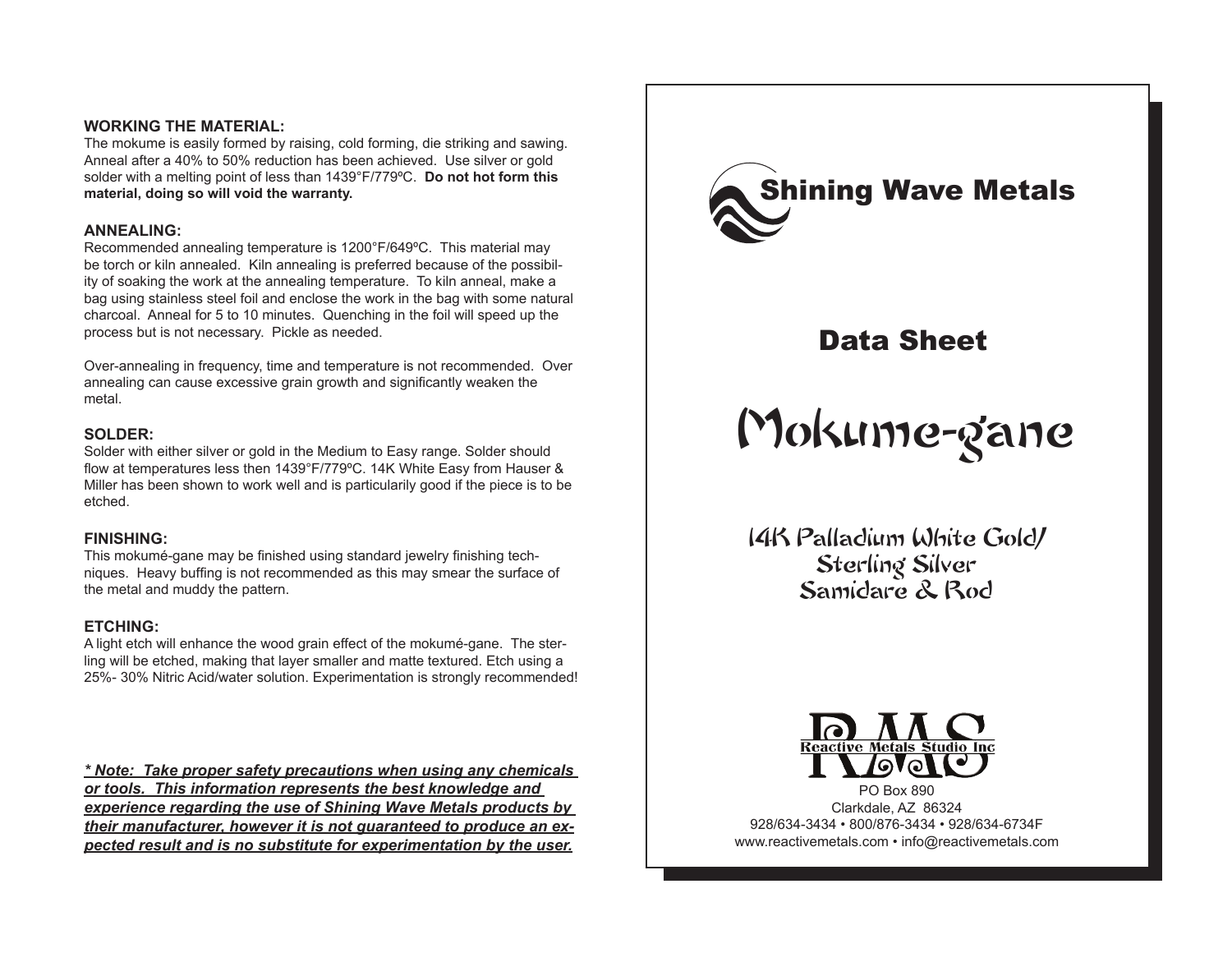#### **WORKING THE MATERIAL:**

The mokume is easily formed by raising, cold forming, die striking and sawing. Anneal after a 40% to 50% reduction has been achieved. Use silver or gold solder with a melting point of less than 1439°F/779ºC. **Do not hot form this material, doing so will void the warranty.**

#### **ANNEALING:**

Recommended annealing temperature is 1200°F/649ºC. This material may be torch or kiln annealed. Kiln annealing is preferred because of the possibility of soaking the work at the annealing temperature. To kiln anneal, make a bag using stainless steel foil and enclose the work in the bag with some natural charcoal. Anneal for 5 to 10 minutes. Quenching in the foil will speed up the process but is not necessary. Pickle as needed.

Over-annealing in frequency, time and temperature is not recommended. Over annealing can cause excessive grain growth and significantly weaken the metal.

#### **SOLDER:**

Solder with either silver or gold in the Medium to Easy range. Solder should flow at temperatures less then 1439°F/779ºC. 14K White Easy from Hauser & Miller has been shown to work well and is particularily good if the piece is to be etched.

#### **FINISHING:**

This mokumé-gane may be finished using standard jewelry finishing techniques. Heavy buffing is not recommended as this may smear the surface of the metal and muddy the pattern.

#### **ETCHING:**

A light etch will enhance the wood grain effect of the mokumé-gane. The sterling will be etched, making that layer smaller and matte textured. Etch using a 25%- 30% Nitric Acid/water solution. Experimentation is strongly recommended!

*\* Note: Take proper safety precautions when using any chemicals or tools. This information represents the best knowledge and experience regarding the use of Shining Wave Metals products by their manufacturer, however it is not guaranteed to produce an expected result and is no substitute for experimentation by the user.*



# Data Sheet

# Mokume-gane

14K Palladium White Gold/ Sterling Silver Samidare & Rod



PO Box 890 Clarkdale, AZ 86324 928/634-3434 • 800/876-3434 • 928/634-6734F www.reactivemetals.com • info@reactivemetals.com